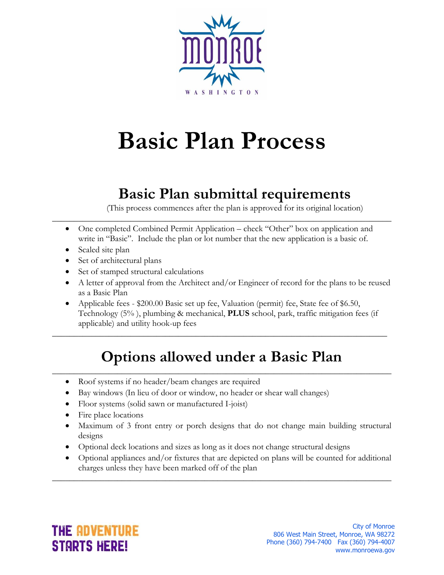

# **Basic Plan Process**

### **Basic Plan submittal requirements**

(This process commences after the plan is approved for its original location)

 One completed Combined Permit Application – check "Other" box on application and write in "Basic". Include the plan or lot number that the new application is a basic of.

\_\_\_\_\_\_\_\_\_\_\_\_\_\_\_\_\_\_\_\_\_\_\_\_\_\_\_\_\_\_\_\_\_\_\_\_\_\_\_\_\_\_\_\_\_\_\_\_\_\_\_\_\_\_\_\_\_\_\_\_\_\_\_\_\_\_\_\_\_\_\_\_\_\_\_\_\_\_

- Scaled site plan
- Set of architectural plans
- Set of stamped structural calculations
- A letter of approval from the Architect and/or Engineer of record for the plans to be reused as a Basic Plan
- Applicable fees \$200.00 Basic set up fee, Valuation (permit) fee, State fee of \$6.50, Technology (5% ), plumbing & mechanical, **PLUS** school, park, traffic mitigation fees (if applicable) and utility hook-up fees

#### **Options allowed under a Basic Plan** \_\_\_\_\_\_\_\_\_\_\_\_\_\_\_\_\_\_\_\_\_\_\_\_\_\_\_\_\_\_\_\_\_\_\_\_\_\_\_\_\_\_\_\_\_\_\_\_\_\_\_\_\_\_\_\_\_\_\_\_\_\_\_\_\_\_\_\_\_\_\_\_\_\_\_\_\_\_

\_\_\_\_\_\_\_\_\_\_\_\_\_\_\_\_\_\_\_\_\_\_\_\_\_\_\_\_\_\_\_\_\_\_\_\_\_\_\_\_\_\_\_\_\_\_\_\_\_\_\_\_\_\_\_\_\_\_\_\_\_\_\_\_\_\_\_\_\_\_\_\_\_\_\_\_\_

- Roof systems if no header/beam changes are required
- Bay windows (In lieu of door or window, no header or shear wall changes)
- Floor systems (solid sawn or manufactured I-joist)
- Fire place locations
- Maximum of 3 front entry or porch designs that do not change main building structural designs
- Optional deck locations and sizes as long as it does not change structural designs
- Optional appliances and/or fixtures that are depicted on plans will be counted for additional charges unless they have been marked off of the plan

\_\_\_\_\_\_\_\_\_\_\_\_\_\_\_\_\_\_\_\_\_\_\_\_\_\_\_\_\_\_\_\_\_\_\_\_\_\_\_\_\_\_\_\_\_\_\_\_\_\_\_\_\_\_\_\_\_\_\_\_\_\_\_\_\_\_\_\_\_\_\_\_\_\_\_\_\_\_